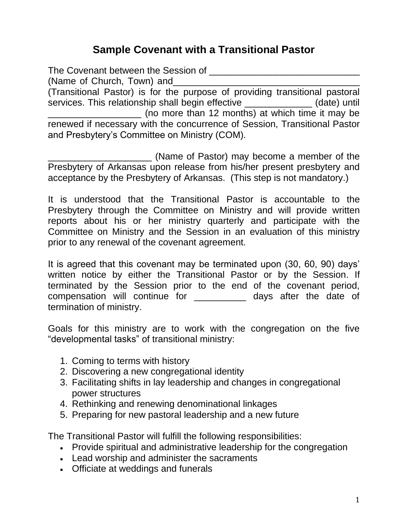## **Sample Covenant with a Transitional Pastor**

The Covenant between the Session of **The Covenant** between the Session of (Name of Church, Town) and (Transitional Pastor) is for the purpose of providing transitional pastoral services. This relationship shall begin effective \_\_\_\_\_\_\_\_\_\_\_\_\_\_ (date) until (no more than 12 months) at which time it may be renewed if necessary with the concurrence of Session, Transitional Pastor and Presbytery's Committee on Ministry (COM).

\_\_\_\_\_\_\_\_\_\_\_\_\_\_\_\_\_\_\_\_ (Name of Pastor) may become a member of the Presbytery of Arkansas upon release from his/her present presbytery and acceptance by the Presbytery of Arkansas. (This step is not mandatory.)

It is understood that the Transitional Pastor is accountable to the Presbytery through the Committee on Ministry and will provide written reports about his or her ministry quarterly and participate with the Committee on Ministry and the Session in an evaluation of this ministry prior to any renewal of the covenant agreement.

It is agreed that this covenant may be terminated upon (30, 60, 90) days' written notice by either the Transitional Pastor or by the Session. If terminated by the Session prior to the end of the covenant period, compensation will continue for \_\_\_\_\_\_\_\_\_\_ days after the date of termination of ministry.

Goals for this ministry are to work with the congregation on the five "developmental tasks" of transitional ministry:

- 1. Coming to terms with history
- 2. Discovering a new congregational identity
- 3. Facilitating shifts in lay leadership and changes in congregational power structures
- 4. Rethinking and renewing denominational linkages
- 5. Preparing for new pastoral leadership and a new future

The Transitional Pastor will fulfill the following responsibilities:

- Provide spiritual and administrative leadership for the congregation
- Lead worship and administer the sacraments
- Officiate at weddings and funerals